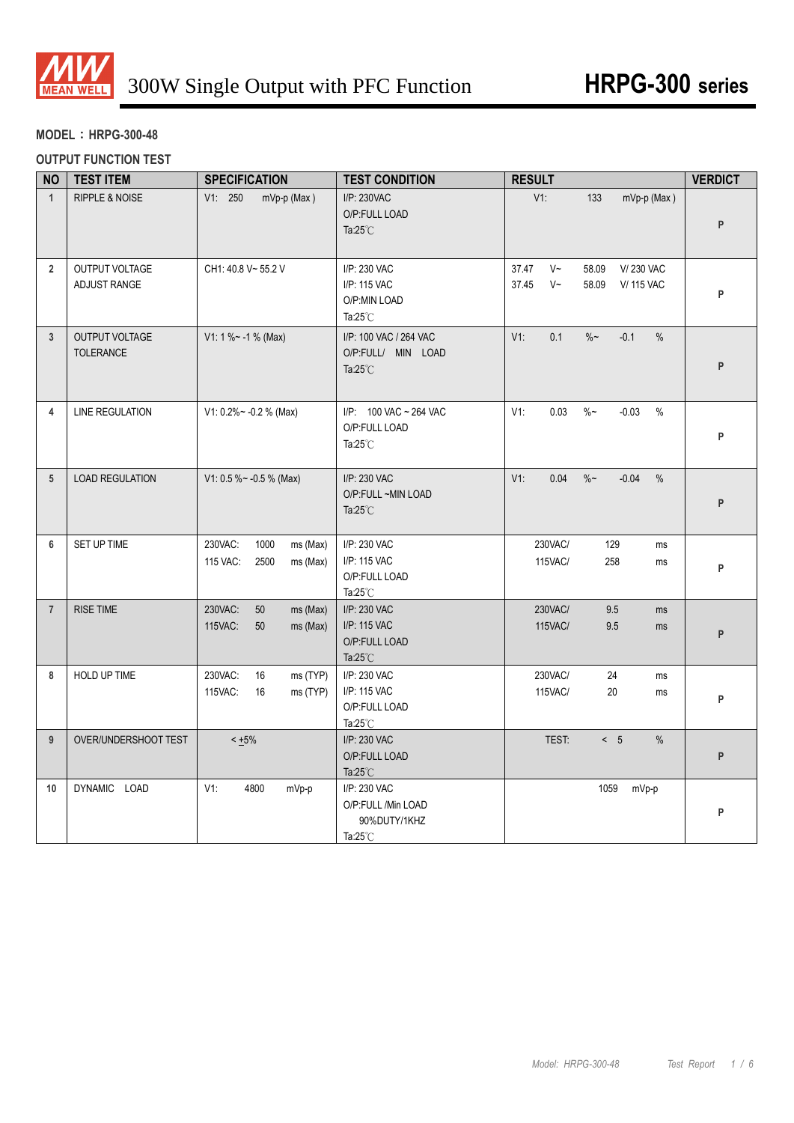

## **MODEL**:**HRPG-300-48**

### **OUTPUT FUNCTION TEST**

| <b>NO</b>       | <b>TEST ITEM</b>                          | <b>SPECIFICATION</b>                                        | <b>TEST CONDITION</b>                                                    | <b>RESULT</b>                                                                             | <b>VERDICT</b> |
|-----------------|-------------------------------------------|-------------------------------------------------------------|--------------------------------------------------------------------------|-------------------------------------------------------------------------------------------|----------------|
| $\mathbf{1}$    | RIPPLE & NOISE                            | V1: 250<br>mVp-p (Max)                                      | I/P: 230VAC<br>O/P:FULL LOAD<br>Ta: $25^{\circ}$ C                       | $V1$ :<br>133<br>mVp-p (Max)                                                              | P              |
| $\overline{2}$  | OUTPUT VOLTAGE<br>ADJUST RANGE            | CH1: 40.8 V~ 55.2 V                                         | I/P: 230 VAC<br>I/P: 115 VAC<br>O/P:MIN LOAD<br>Ta: $25^{\circ}$ C       | 37.47<br>$V~\sim$<br>58.09<br>V/230 VAC<br>37.45<br>$V~\sim$<br>58.09<br><b>V/115 VAC</b> | P              |
| $\mathbf{3}$    | <b>OUTPUT VOLTAGE</b><br><b>TOLERANCE</b> | V1: 1 % ~ - 1 % (Max)                                       | I/P: 100 VAC / 264 VAC<br>O/P:FULL/ MIN LOAD<br>Ta: $25^{\circ}$ C       | 0.1<br>$V1$ :<br>$\%$ ~<br>$-0.1$<br>$\%$                                                 | P              |
| 4               | <b>LINE REGULATION</b>                    | V1: $0.2\%$ ~ -0.2 % (Max)                                  | I/P: 100 VAC ~ 264 VAC<br>O/P:FULL LOAD<br>Ta: $25^{\circ}$ C            | 0.03<br>$\%$ ~<br>V1:<br>$-0.03$<br>$\%$                                                  | P              |
| $5\phantom{.0}$ | <b>LOAD REGULATION</b>                    | V1: 0.5 % ~ - 0.5 % (Max)                                   | I/P: 230 VAC<br>O/P:FULL ~MIN LOAD<br>Ta: $25^{\circ}$ C                 | 0.04<br>$\%$ ~<br>$-0.04$<br>V1:<br>$\frac{0}{0}$                                         | P              |
| 6               | SET UP TIME                               | 230VAC:<br>1000<br>ms (Max)<br>115 VAC:<br>2500<br>ms (Max) | I/P: 230 VAC<br>I/P: 115 VAC<br>O/P:FULL LOAD<br>Ta: $25^{\circ}$ C      | 230VAC/<br>129<br>ms<br>115VAC/<br>258<br>ms                                              | P              |
| $\overline{7}$  | <b>RISE TIME</b>                          | 230VAC:<br>50<br>ms (Max)<br>115VAC:<br>50<br>ms (Max)      | I/P: 230 VAC<br>I/P: 115 VAC<br>O/P:FULL LOAD<br>Ta: $25^{\circ}$ C      | 230VAC/<br>9.5<br>ms<br>115VAC/<br>9.5<br>ms                                              | P              |
| 8               | HOLD UP TIME                              | 230VAC:<br>16<br>ms (TYP)<br>115VAC:<br>ms (TYP)<br>16      | I/P: 230 VAC<br>I/P: 115 VAC<br>O/P:FULL LOAD<br>Ta: $25^{\circ}$ C      | 230VAC/<br>24<br>ms<br>115VAC/<br>20<br>ms                                                | P              |
| 9               | OVER/UNDERSHOOT TEST                      | $< +5\%$                                                    | I/P: 230 VAC<br>O/P:FULL LOAD<br>Ta: $25^{\circ}$ C                      | TEST:<br>< 5<br>$\%$                                                                      | P              |
| 10              | DYNAMIC LOAD                              | $V1$ :<br>4800<br>mVp-p                                     | I/P: 230 VAC<br>O/P:FULL /Min LOAD<br>90%DUTY/1KHZ<br>Ta: $25^{\circ}$ C | 1059<br>mVp-p                                                                             | P              |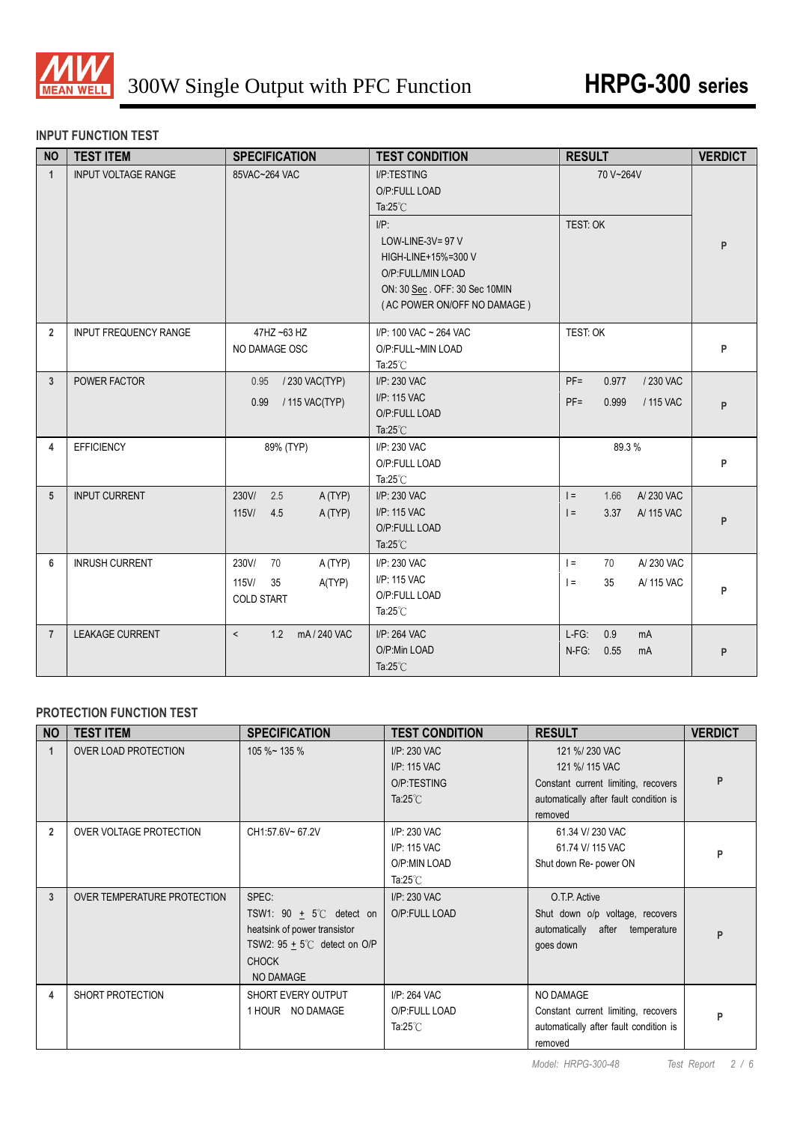

## **INPUT FUNCTION TEST**

| <b>NO</b>      | <b>TEST ITEM</b>           | <b>SPECIFICATION</b>                                                 | <b>TEST CONDITION</b>                                                                                                                                                                            | <b>RESULT</b>                                                | <b>VERDICT</b> |
|----------------|----------------------------|----------------------------------------------------------------------|--------------------------------------------------------------------------------------------------------------------------------------------------------------------------------------------------|--------------------------------------------------------------|----------------|
| $\mathbf{1}$   | <b>INPUT VOLTAGE RANGE</b> | 85VAC~264 VAC                                                        | I/P:TESTING<br>O/P:FULL LOAD<br>Ta: $25^{\circ}$ C<br>$I/P$ :<br>LOW-LINE-3V= $97$ V<br>HIGH-LINE+15%=300 V<br>O/P:FULL/MIN LOAD<br>ON: 30 Sec. OFF: 30 Sec 10MIN<br>(AC POWER ON/OFF NO DAMAGE) | 70 V~264V<br>TEST: OK                                        | P              |
| $\overline{2}$ | INPUT FREQUENCY RANGE      | 47HZ ~63 HZ<br>NO DAMAGE OSC                                         | I/P: 100 VAC ~ 264 VAC<br>O/P:FULL~MIN LOAD<br>Ta: $25^{\circ}$ C                                                                                                                                | TEST: OK                                                     | P              |
| $\overline{3}$ | POWER FACTOR               | / 230 VAC(TYP)<br>0.95<br>/ 115 VAC(TYP)<br>0.99                     | I/P: 230 VAC<br>I/P: 115 VAC<br>O/P:FULL LOAD<br>Ta: $25^{\circ}$ C                                                                                                                              | $PF =$<br>/ 230 VAC<br>0.977<br>$PF =$<br>0.999<br>/ 115 VAC | P              |
| 4              | <b>EFFICIENCY</b>          | 89% (TYP)                                                            | I/P: 230 VAC<br>O/P:FULL LOAD<br>Ta: $25^{\circ}$ C                                                                                                                                              | 89.3%                                                        | P              |
| 5              | <b>INPUT CURRENT</b>       | 230V/<br>2.5<br>A(TYP)<br>$115$ V/<br>4.5<br>A(TYP)                  | I/P: 230 VAC<br>I/P: 115 VAC<br>O/P:FULL LOAD<br>Ta: $25^{\circ}$ C                                                                                                                              | $=$<br>1.66<br>A/230 VAC<br>3.37<br>$=$<br>A/115 VAC         | P              |
| 6              | <b>INRUSH CURRENT</b>      | 230V/<br>70<br>A (TYP)<br>115V/<br>35<br>A(TYP)<br><b>COLD START</b> | I/P: 230 VAC<br>I/P: 115 VAC<br>O/P:FULL LOAD<br>Ta: $25^{\circ}$ C                                                                                                                              | A/230 VAC<br>$=$<br>70<br>$\vert$ =<br>35<br>A/ 115 VAC      | P              |
| $\overline{7}$ | <b>LEAKAGE CURRENT</b>     | $\prec$<br>1.2 mA/240 VAC                                            | I/P: 264 VAC<br>O/P:Min LOAD<br>Ta: $25^{\circ}$ C                                                                                                                                               | 0.9<br>$L-FG$ :<br>mA<br>$N-FG$ :<br>0.55<br>mA              | P              |

## **PROTECTION FUNCTION TEST**

| <b>NO</b>      | <b>TEST ITEM</b>            | <b>SPECIFICATION</b>                                                                                                                              | <b>TEST CONDITION</b>                                              | <b>RESULT</b>                                                                                                               | <b>VERDICT</b> |
|----------------|-----------------------------|---------------------------------------------------------------------------------------------------------------------------------------------------|--------------------------------------------------------------------|-----------------------------------------------------------------------------------------------------------------------------|----------------|
|                | <b>OVER LOAD PROTECTION</b> | $105 \%$ ~ 135 %                                                                                                                                  | I/P: 230 VAC<br>I/P: 115 VAC<br>O/P:TESTING<br>Ta: $25^{\circ}$ C  | 121 %/230 VAC<br>121 %/ 115 VAC<br>Constant current limiting, recovers<br>automatically after fault condition is<br>removed |                |
| $\overline{2}$ | OVER VOLTAGE PROTECTION     | CH1:57.6V~67.2V                                                                                                                                   | I/P: 230 VAC<br>I/P: 115 VAC<br>O/P:MIN LOAD<br>Ta: $25^{\circ}$ C | 61.34 V/230 VAC<br>61.74 V/ 115 VAC<br>Shut down Re- power ON                                                               | D              |
| 3              | OVER TEMPERATURE PROTECTION | SPEC:<br>TSW1: 90 $\pm$ 5°C detect on<br>heatsink of power transistor<br>TSW2: $95 + 5^{\circ}$ detect on O/P<br><b>CHOCK</b><br><b>NO DAMAGE</b> | I/P: 230 VAC<br>O/P:FULL LOAD                                      | O.T.P. Active<br>Shut down o/p voltage, recovers<br>automatically after temperature<br>goes down                            | P              |
| 4              | SHORT PROTECTION            | SHORT EVERY OUTPUT<br>1 HOUR NO DAMAGE                                                                                                            | I/P: 264 VAC<br>O/P:FULL LOAD<br>Ta: $25^{\circ}$ C                | NO DAMAGE<br>Constant current limiting, recovers<br>automatically after fault condition is<br>removed                       | P              |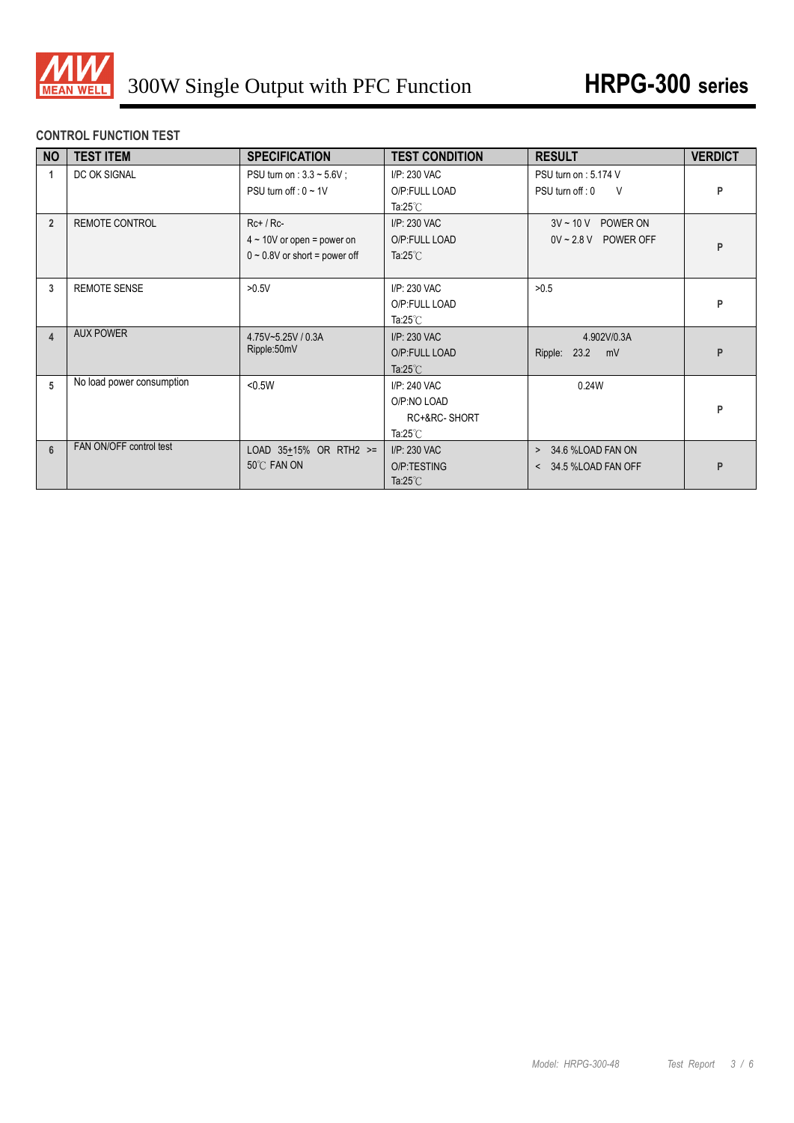

## **CONTROL FUNCTION TEST**

| <b>NO</b>               | <b>TEST ITEM</b>          | <b>SPECIFICATION</b>                                                                 | <b>TEST CONDITION</b>                                               | <b>RESULT</b>                                                | <b>VERDICT</b> |
|-------------------------|---------------------------|--------------------------------------------------------------------------------------|---------------------------------------------------------------------|--------------------------------------------------------------|----------------|
| 1                       | DC OK SIGNAL              | PSU turn on : $3.3 \sim 5.6V$ ;<br>PSU turn off : $0 \sim 1$ V                       | I/P: 230 VAC<br>O/P:FULL LOAD<br>Ta: $25^{\circ}$ C                 | PSU turn on: 5.174 V<br>PSU turn off : 0<br>- V              | P              |
| $\overline{2}$          | <b>REMOTE CONTROL</b>     | $Rc+ / Rc-$<br>$4 \sim 10V$ or open = power on<br>$0 \sim 0.8V$ or short = power off | I/P: 230 VAC<br>O/P:FULL LOAD<br>Ta: $25^{\circ}$ C                 | $3V \sim 10 V$<br>POWER ON<br>$0V \sim 2.8 V$ POWER OFF      | P              |
| 3                       | <b>REMOTE SENSE</b>       | >0.5V                                                                                | I/P: 230 VAC<br>O/P:FULL LOAD<br>Ta: $25^{\circ}$ C                 | >0.5                                                         | P              |
| $\overline{\mathbf{4}}$ | <b>AUX POWER</b>          | 4.75V~5.25V / 0.3A<br>Ripple:50mV                                                    | I/P: 230 VAC<br>O/P:FULL LOAD<br>Ta: $25^{\circ}$ C                 | 4.902V/0.3A<br>Ripple: 23.2<br>mV                            | P              |
| 5                       | No load power consumption | < 0.5W                                                                               | $I/P: 240$ VAC<br>O/P:NO LOAD<br>RC+&RC-SHORT<br>Ta: $25^{\circ}$ C | 0.24W                                                        | P              |
| 6                       | FAN ON/OFF control test   | LOAD $35+15%$ OR RTH2 >=<br>50°C FAN ON                                              | I/P: 230 VAC<br>O/P:TESTING<br>Ta: $25^{\circ}$ C                   | 34.6 %LOAD FAN ON<br>$\geq$<br>34.5 %LOAD FAN OFF<br>$\prec$ | P              |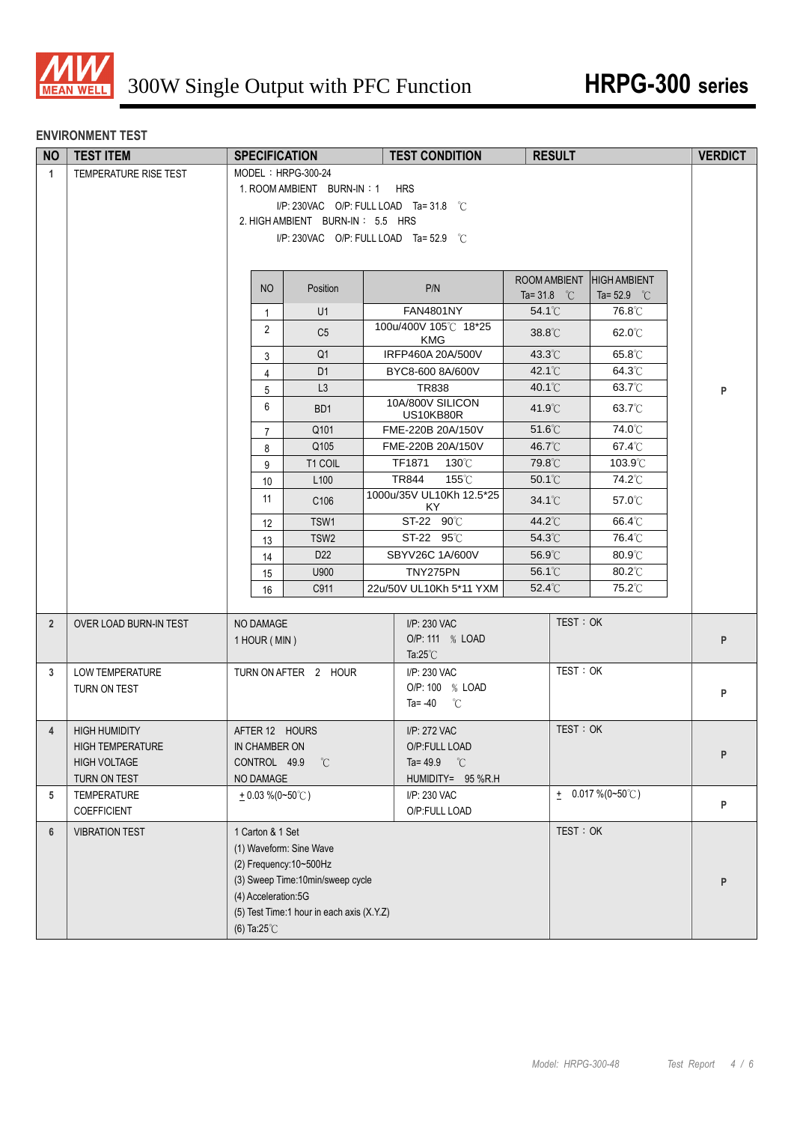

#### **ENVIRONMENT TEST**

| <b>NO</b>      | <b>TEST ITEM</b>        | <b>SPECIFICATION</b>    |                                           |  | <b>TEST CONDITION</b>               | <b>RESULT</b>         |          |                        | <b>VERDICT</b> |  |
|----------------|-------------------------|-------------------------|-------------------------------------------|--|-------------------------------------|-----------------------|----------|------------------------|----------------|--|
| $\mathbf{1}$   | TEMPERATURE RISE TEST   | MODEL: HRPG-300-24      |                                           |  |                                     |                       |          |                        |                |  |
|                |                         |                         | 1. ROOM AMBIENT BURN-IN: 1 HRS            |  |                                     |                       |          |                        |                |  |
|                |                         |                         | I/P: 230VAC O/P: FULL LOAD Ta=31.8 °C     |  |                                     |                       |          |                        |                |  |
|                |                         |                         | 2. HIGH AMBIENT BURN-IN: 5.5 HRS          |  |                                     |                       |          |                        |                |  |
|                |                         |                         | I/P: 230VAC O/P: FULL LOAD Ta= 52.9 °C    |  |                                     |                       |          |                        |                |  |
|                |                         |                         |                                           |  |                                     |                       |          |                        |                |  |
|                |                         |                         |                                           |  |                                     | <b>ROOM AMBIENT</b>   |          | <b>HIGH AMBIENT</b>    |                |  |
|                |                         | <b>NO</b>               | Position                                  |  | P/N                                 | Ta= 31.8 $^{\circ}$ C |          | Ta= $52.9$ °C          |                |  |
|                |                         | $\mathbf{1}$            | U1                                        |  | <b>FAN4801NY</b>                    | $54.1^{\circ}$ C      |          | 76.8°C                 |                |  |
|                |                         | $\overline{2}$          | C <sub>5</sub>                            |  | 100u/400V 105°C 18*25<br><b>KMG</b> | 38.8°C                |          | 62.0°C                 |                |  |
|                |                         | 3                       | Q <sub>1</sub>                            |  | IRFP460A 20A/500V                   | $43.3^{\circ}$ C      |          | $65.8^{\circ}$ C       |                |  |
|                |                         | 4                       | D <sub>1</sub>                            |  | BYC8-600 8A/600V                    | $42.1^{\circ}$ C      |          | 64.3°C                 |                |  |
|                |                         | 5                       | L3                                        |  | TR838                               | $40.1^{\circ}$ C      |          | $63.7^\circ\text{C}$   | P              |  |
|                |                         | 6                       | BD <sub>1</sub>                           |  | 10A/800V SILICON<br>US10KB80R       | $41.9^{\circ}$ C      |          | $63.7^{\circ}$ C       |                |  |
|                |                         | $\overline{7}$          | Q101                                      |  | FME-220B 20A/150V                   | $51.6^{\circ}$ C      |          | 74.0℃                  |                |  |
|                |                         | 8                       | Q105                                      |  | FME-220B 20A/150V                   | 46.7°C                |          | $67.4^{\circ}$ C       |                |  |
|                |                         | 9                       | T1 COIL                                   |  | TF1871<br>130°C                     | 79.8°C                |          | 103.9°C                |                |  |
|                |                         | 10                      | L <sub>100</sub>                          |  | <b>TR844</b><br>155°C               | 50.1°C                |          | 74.2°C                 |                |  |
|                |                         | 11                      | C106                                      |  | 1000u/35V UL10Kh 12.5*25<br>KY      | $34.1^{\circ}$ C      |          | $57.0^{\circ}$ C       |                |  |
|                |                         | $12 \overline{ }$       | TSW1                                      |  | ST-22 90°C                          | 44.2°C                |          | 66.4°C                 |                |  |
|                |                         | 13                      | TSW <sub>2</sub>                          |  | ST-22 95°C                          | $54.3^{\circ}$ C      |          | 76.4°C                 |                |  |
|                |                         | 14                      | D <sub>22</sub>                           |  | SBYV26C 1A/600V                     | 56.9°C                |          | $80.9^{\circ}$ C       |                |  |
|                |                         | 15                      | U900                                      |  | TNY275PN                            | 56.1°C                |          | 80.2°C                 |                |  |
|                |                         | 16                      | C911                                      |  | 22u/50V UL10Kh 5*11 YXM             | 52.4°C                |          | 75.2°C                 |                |  |
| $\overline{2}$ | OVER LOAD BURN-IN TEST  | NO DAMAGE               |                                           |  | I/P: 230 VAC                        |                       | TEST: OK |                        |                |  |
|                |                         | 1 HOUR (MIN)            |                                           |  | O/P: 111 % LOAD                     |                       |          |                        | P              |  |
|                |                         |                         |                                           |  | Ta: $25^{\circ}$ C                  |                       |          |                        |                |  |
| 3              | <b>LOW TEMPERATURE</b>  |                         | TURN ON AFTER 2 HOUR                      |  | I/P: 230 VAC                        |                       | TEST: OK |                        |                |  |
|                | TURN ON TEST            |                         |                                           |  | O/P: 100 % LOAD                     |                       |          |                        | P              |  |
|                |                         |                         |                                           |  | Ta= $-40$ °C                        |                       |          |                        |                |  |
| $\overline{4}$ | <b>HIGH HUMIDITY</b>    | AFTER 12 HOURS          |                                           |  | I/P: 272 VAC                        |                       | TEST: OK |                        |                |  |
|                | <b>HIGH TEMPERATURE</b> | IN CHAMBER ON           |                                           |  | O/P:FULL LOAD                       |                       |          |                        | P              |  |
|                | <b>HIGH VOLTAGE</b>     | CONTROL 49.9            | °C                                        |  | Ta=49.9 $\degree$ C                 |                       |          |                        |                |  |
|                | TURN ON TEST            | NO DAMAGE               |                                           |  | HUMIDITY= 95 %R.H                   |                       |          |                        |                |  |
| 5              | TEMPERATURE             | $+0.03\%$ (0~50°C)      |                                           |  | I/P: 230 VAC                        |                       |          | $\pm$ 0.017 % (0~50°C) | P              |  |
|                | COEFFICIENT             |                         |                                           |  | O/P:FULL LOAD                       |                       |          |                        |                |  |
| 6              | <b>VIBRATION TEST</b>   | 1 Carton & 1 Set        |                                           |  |                                     |                       | TEST: OK |                        |                |  |
|                |                         | (1) Waveform: Sine Wave |                                           |  |                                     |                       |          |                        |                |  |
|                |                         | (2) Frequency: 10~500Hz |                                           |  |                                     |                       |          |                        |                |  |
|                |                         | (4) Acceleration:5G     | (3) Sweep Time:10min/sweep cycle          |  |                                     |                       |          |                        | P              |  |
|                |                         |                         | (5) Test Time:1 hour in each axis (X.Y.Z) |  |                                     |                       |          |                        |                |  |
|                |                         | (6) Ta: $25^{\circ}$ C  |                                           |  |                                     |                       |          |                        |                |  |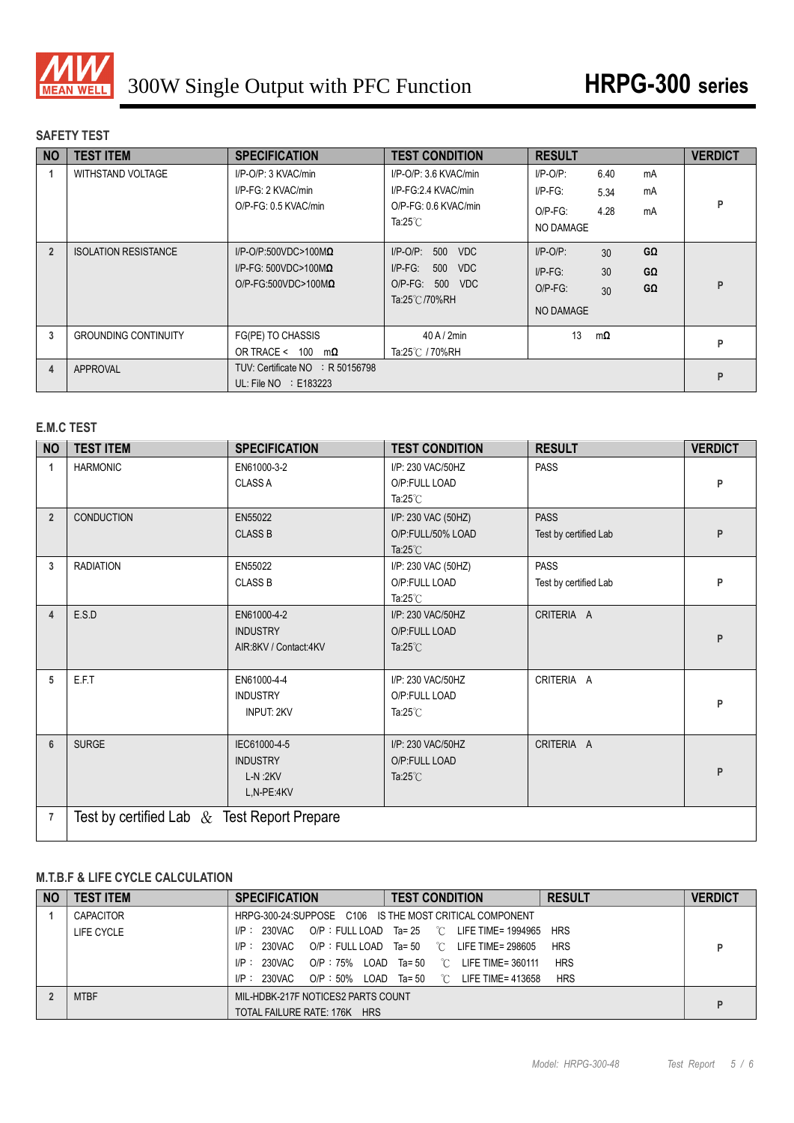

## **SAFETY TEST**

| <b>NO</b>      | <b>TEST ITEM</b>            | <b>SPECIFICATION</b>                                                                               | <b>TEST CONDITION</b>                                                                           | <b>RESULT</b>                                                                                                | <b>VERDICT</b> |
|----------------|-----------------------------|----------------------------------------------------------------------------------------------------|-------------------------------------------------------------------------------------------------|--------------------------------------------------------------------------------------------------------------|----------------|
|                | WITHSTAND VOLTAGE           | I/P-O/P: 3 KVAC/min<br>I/P-FG: 2 KVAC/min<br>O/P-FG: 0.5 KVAC/min                                  | I/P-O/P: 3.6 KVAC/min<br>I/P-FG:2.4 KVAC/min<br>O/P-FG: 0.6 KVAC/min<br>Ta: $25^{\circ}$ C      | $I/P$ -O/P:<br>6.40<br>mA<br>$I/P-FG$ :<br>mA<br>5.34<br>4.28<br>$O/P-FG$ :<br>mA<br><b>NO DAMAGE</b>        | P              |
| $\overline{2}$ | <b>ISOLATION RESISTANCE</b> | $I/P$ -O/P:500VDC>100M $\Omega$<br>$I/P-FG: 500VDC > 100M\Omega$<br>$O/P$ -FG:500VDC>100M $\Omega$ | $I/P$ -O/P:<br>500<br><b>VDC</b><br>$I/P-FG$ :<br>500<br>VDC<br>O/P-FG: 500 VDC<br>Ta:25℃/70%RH | GΩ<br>$I/P$ -O/P:<br>30 <sup>2</sup><br>30<br>$I/P-FG$ :<br>GΩ<br>GΩ<br>$O/P-FG$ :<br>30<br><b>NO DAMAGE</b> | Þ              |
| 3              | <b>GROUNDING CONTINUITY</b> | FG(PE) TO CHASSIS<br>OR TRACE < 100<br>mΩ                                                          | $40$ A / $2$ min<br>Ta:25℃ / 70%RH                                                              | 13<br>$m\Omega$                                                                                              | P              |
| 4              | APPROVAL                    | TUV: Certificate NO : R 50156798<br>UL: File $NO$ : E183223                                        |                                                                                                 |                                                                                                              | P              |

## **E.M.C TEST**

| <b>NO</b>      | <b>TEST ITEM</b>                               | <b>SPECIFICATION</b>                                       | <b>TEST CONDITION</b>                                          | <b>RESULT</b>                        | <b>VERDICT</b> |
|----------------|------------------------------------------------|------------------------------------------------------------|----------------------------------------------------------------|--------------------------------------|----------------|
| 1              | <b>HARMONIC</b>                                | EN61000-3-2<br><b>CLASS A</b>                              | I/P: 230 VAC/50HZ<br>O/P:FULL LOAD<br>Ta: $25^{\circ}$ C       | <b>PASS</b>                          | P              |
| $\overline{2}$ | <b>CONDUCTION</b>                              | EN55022<br><b>CLASS B</b>                                  | I/P: 230 VAC (50HZ)<br>O/P:FULL/50% LOAD<br>Ta: $25^{\circ}$ C | <b>PASS</b><br>Test by certified Lab | P              |
| 3              | <b>RADIATION</b>                               | EN55022<br><b>CLASS B</b>                                  | I/P: 230 VAC (50HZ)<br>O/P:FULL LOAD<br>Ta: $25^{\circ}$ C     | <b>PASS</b><br>Test by certified Lab | P              |
| 4              | E.S.D                                          | EN61000-4-2<br><b>INDUSTRY</b><br>AIR:8KV / Contact:4KV    | I/P: 230 VAC/50HZ<br>O/P:FULL LOAD<br>Ta: $25^{\circ}$ C       | CRITERIA A                           | P              |
| 5              | E.F.T                                          | EN61000-4-4<br><b>INDUSTRY</b><br><b>INPUT: 2KV</b>        | I/P: 230 VAC/50HZ<br>O/P:FULL LOAD<br>Ta: $25^{\circ}$ C       | CRITERIA A                           | P              |
| $6\phantom{1}$ | <b>SURGE</b>                                   | IEC61000-4-5<br><b>INDUSTRY</b><br>$L-N:2KV$<br>L,N-PE:4KV | I/P: 230 VAC/50HZ<br>O/P:FULL LOAD<br>Ta: $25^{\circ}$ C       | CRITERIA A                           | P              |
| $\overline{7}$ | Test by certified Lab $\&$ Test Report Prepare |                                                            |                                                                |                                      |                |

## **M.T.B.F & LIFE CYCLE CALCULATION**

| <b>NO</b> | <b>TEST ITEM</b> | <b>SPECIFICATION</b>                                    | <b>TEST CONDITION</b>                                  | <b>RESULT</b> | <b>VERDICT</b> |  |
|-----------|------------------|---------------------------------------------------------|--------------------------------------------------------|---------------|----------------|--|
|           | <b>CAPACITOR</b> | HRPG-300-24:SUPPOSE C106 IS THE MOST CRITICAL COMPONENT |                                                        |               |                |  |
|           | LIFE CYCLE       | I/P: 230VAC                                             | $OP: FULL$ LOAD $Ta = 25$ $°C$ LIFE TIME= 1994965 HRS  |               |                |  |
|           |                  | $I/P$ : 230VAC                                          | $OP : FULL$ LOAD Ta= 50 $^{\circ}$ C LIFE TIME= 298605 | <b>HRS</b>    |                |  |
|           |                  | $I/P$ : 230VAC<br>O/P: 75% LOAD Ta= 50                  | $\mathbb{C}$<br>LIFE TIME= 360111                      | <b>HRS</b>    |                |  |
|           |                  | I/P: 230VAC<br>O/P:50% LOAD Ta=50 °C                    | LIFE TIME= 413658                                      | <b>HRS</b>    |                |  |
|           | <b>MTBF</b>      | MIL-HDBK-217F NOTICES2 PARTS COUNT                      |                                                        |               | D.             |  |
|           |                  | TOTAL FAILURE RATE: 176K HRS                            |                                                        |               |                |  |